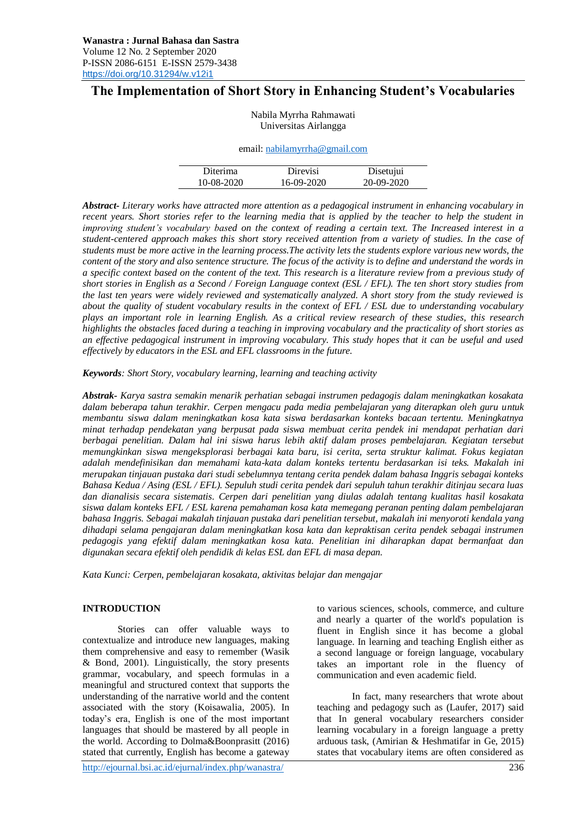# **The Implementation of Short Story in Enhancing Student's Vocabularies**

| Nabila Myrrha Rahmawati |
|-------------------------|
| Universitas Airlangga   |

#### email: [nabilamyrrha@gmail.com](mailto:nabilamyrrha@gmail.com)

| Diterima   | Direvisi   | Disetujui  |
|------------|------------|------------|
| 10-08-2020 | 16-09-2020 | 20-09-2020 |

*Abstract- Literary works have attracted more attention as a pedagogical instrument in enhancing vocabulary in recent years. Short stories refer to the learning media that is applied by the teacher to help the student in improving student's vocabulary based on the context of reading a certain text. The Increased interest in a student-centered approach makes this short story received attention from a variety of studies. In the case of students must be more active in the learning process.The activity lets the students explore various new words, the content of the story and also sentence structure. The focus of the activity is to define and understand the words in a specific context based on the content of the text. This research is a literature review from a previous study of short stories in English as a Second / Foreign Language context (ESL / EFL). The ten short story studies from the last ten years were widely reviewed and systematically analyzed. A short story from the study reviewed is about the quality of student vocabulary results in the context of EFL / ESL due to understanding vocabulary plays an important role in learning English. As a critical review research of these studies, this research highlights the obstacles faced during a teaching in improving vocabulary and the practicality of short stories as an effective pedagogical instrument in improving vocabulary. This study hopes that it can be useful and used effectively by educators in the ESL and EFL classrooms in the future.*

*Keywords: Short Story, vocabulary learning, learning and teaching activity*

*Abstrak- Karya sastra semakin menarik perhatian sebagai instrumen pedagogis dalam meningkatkan kosakata dalam beberapa tahun terakhir. Cerpen mengacu pada media pembelajaran yang diterapkan oleh guru untuk membantu siswa dalam meningkatkan kosa kata siswa berdasarkan konteks bacaan tertentu. Meningkatnya minat terhadap pendekatan yang berpusat pada siswa membuat cerita pendek ini mendapat perhatian dari berbagai penelitian. Dalam hal ini siswa harus lebih aktif dalam proses pembelajaran. Kegiatan tersebut memungkinkan siswa mengeksplorasi berbagai kata baru, isi cerita, serta struktur kalimat. Fokus kegiatan adalah mendefinisikan dan memahami kata-kata dalam konteks tertentu berdasarkan isi teks. Makalah ini merupakan tinjauan pustaka dari studi sebelumnya tentang cerita pendek dalam bahasa Inggris sebagai konteks Bahasa Kedua / Asing (ESL / EFL). Sepuluh studi cerita pendek dari sepuluh tahun terakhir ditinjau secara luas dan dianalisis secara sistematis. Cerpen dari penelitian yang diulas adalah tentang kualitas hasil kosakata siswa dalam konteks EFL / ESL karena pemahaman kosa kata memegang peranan penting dalam pembelajaran bahasa Inggris. Sebagai makalah tinjauan pustaka dari penelitian tersebut, makalah ini menyoroti kendala yang dihadapi selama pengajaran dalam meningkatkan kosa kata dan kepraktisan cerita pendek sebagai instrumen pedagogis yang efektif dalam meningkatkan kosa kata. Penelitian ini diharapkan dapat bermanfaat dan digunakan secara efektif oleh pendidik di kelas ESL dan EFL di masa depan.*

*Kata Kunci: Cerpen, pembelajaran kosakata, aktivitas belajar dan mengajar*

### **INTRODUCTION**

Stories can offer valuable ways to contextualize and introduce new languages, making them comprehensive and easy to remember (Wasik  $& Bond, 2001$ . Linguistically, the story presents grammar, vocabulary, and speech formulas in a meaningful and structured context that supports the understanding of the narrative world and the content associated with the story (Koisawalia, 2005). In today's era, English is one of the most important languages that should be mastered by all people in the world. According to Dolma&Boonprasitt (2016) stated that currently, English has become a gateway

to various sciences, schools, commerce, and culture and nearly a quarter of the world's population is fluent in English since it has become a global language. In learning and teaching English either as a second language or foreign language, vocabulary takes an important role in the fluency of communication and even academic field.

In fact, many researchers that wrote about teaching and pedagogy such as (Laufer, 2017) said that In general vocabulary researchers consider learning vocabulary in a foreign language a pretty arduous task, (Amirian & Heshmatifar in Ge, 2015) states that vocabulary items are often considered as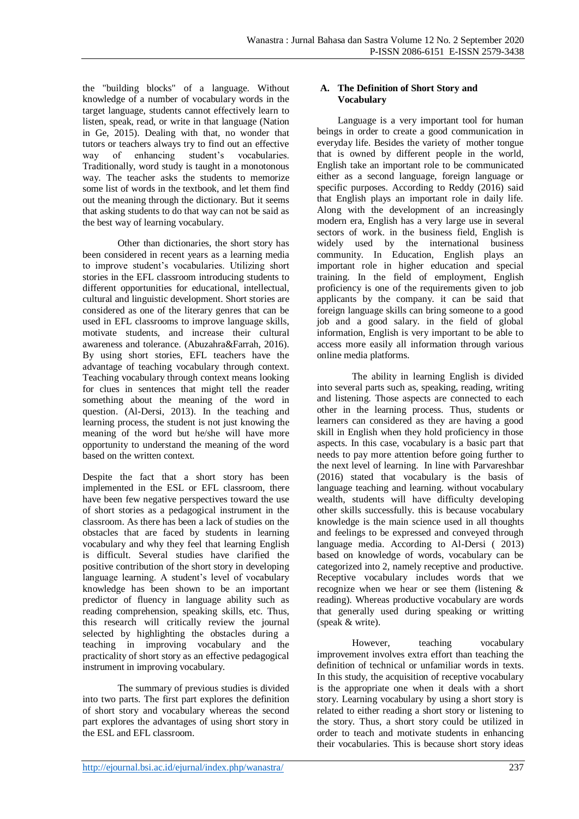the "building blocks" of a language. Without knowledge of a number of vocabulary words in the target language, students cannot effectively learn to listen, speak, read, or write in that language (Nation in Ge, 2015). Dealing with that, no wonder that tutors or teachers always try to find out an effective way of enhancing student's vocabularies. Traditionally, word study is taught in a monotonous way. The teacher asks the students to memorize some list of words in the textbook, and let them find out the meaning through the dictionary. But it seems that asking students to do that way can not be said as the best way of learning vocabulary.

Other than dictionaries, the short story has been considered in recent years as a learning media to improve student's vocabularies. Utilizing short stories in the EFL classroom introducing students to different opportunities for educational, intellectual, cultural and linguistic development. Short stories are considered as one of the literary genres that can be used in EFL classrooms to improve language skills, motivate students, and increase their cultural awareness and tolerance. (Abuzahra&Farrah, 2016). By using short stories, EFL teachers have the advantage of teaching vocabulary through context. Teaching vocabulary through context means looking for clues in sentences that might tell the reader something about the meaning of the word in question. (Al-Dersi, 2013). In the teaching and learning process, the student is not just knowing the meaning of the word but he/she will have more opportunity to understand the meaning of the word based on the written context.

Despite the fact that a short story has been implemented in the ESL or EFL classroom, there have been few negative perspectives toward the use of short stories as a pedagogical instrument in the classroom. As there has been a lack of studies on the obstacles that are faced by students in learning vocabulary and why they feel that learning English is difficult. Several studies have clarified the positive contribution of the short story in developing language learning. A student's level of vocabulary knowledge has been shown to be an important predictor of fluency in language ability such as reading comprehension, speaking skills, etc. Thus, this research will critically review the journal selected by highlighting the obstacles during a teaching in improving vocabulary and the practicality of short story as an effective pedagogical instrument in improving vocabulary.

The summary of previous studies is divided into two parts. The first part explores the definition of short story and vocabulary whereas the second part explores the advantages of using short story in the ESL and EFL classroom.

### **A. The Definition of Short Story and Vocabulary**

Language is a very important tool for human beings in order to create a good communication in everyday life. Besides the variety of mother tongue that is owned by different people in the world, English take an important role to be communicated either as a second language, foreign language or specific purposes. According to Reddy (2016) said that English plays an important role in daily life. Along with the development of an increasingly modern era, English has a very large use in several sectors of work. in the business field, English is widely used by the international business community. In Education, English plays an important role in higher education and special training. In the field of employment, English proficiency is one of the requirements given to job applicants by the company. it can be said that foreign language skills can bring someone to a good job and a good salary. in the field of global information, English is very important to be able to access more easily all information through various online media platforms.

The ability in learning English is divided into several parts such as, speaking, reading, writing and listening. Those aspects are connected to each other in the learning process. Thus, students or learners can considered as they are having a good skill in English when they hold proficiency in those aspects. In this case, vocabulary is a basic part that needs to pay more attention before going further to the next level of learning. In line with Parvareshbar (2016) stated that vocabulary is the basis of language teaching and learning. without vocabulary wealth, students will have difficulty developing other skills successfully. this is because vocabulary knowledge is the main science used in all thoughts and feelings to be expressed and conveyed through language media. According to Al-Dersi ( 2013) based on knowledge of words, vocabulary can be categorized into 2, namely receptive and productive. Receptive vocabulary includes words that we recognize when we hear or see them (listening & reading). Whereas productive vocabulary are words that generally used during speaking or writting (speak & write).

However, teaching vocabulary improvement involves extra effort than teaching the definition of technical or unfamiliar words in texts. In this study, the acquisition of receptive vocabulary is the appropriate one when it deals with a short story. Learning vocabulary by using a short story is related to either reading a short story or listening to the story. Thus, a short story could be utilized in order to teach and motivate students in enhancing their vocabularies. This is because short story ideas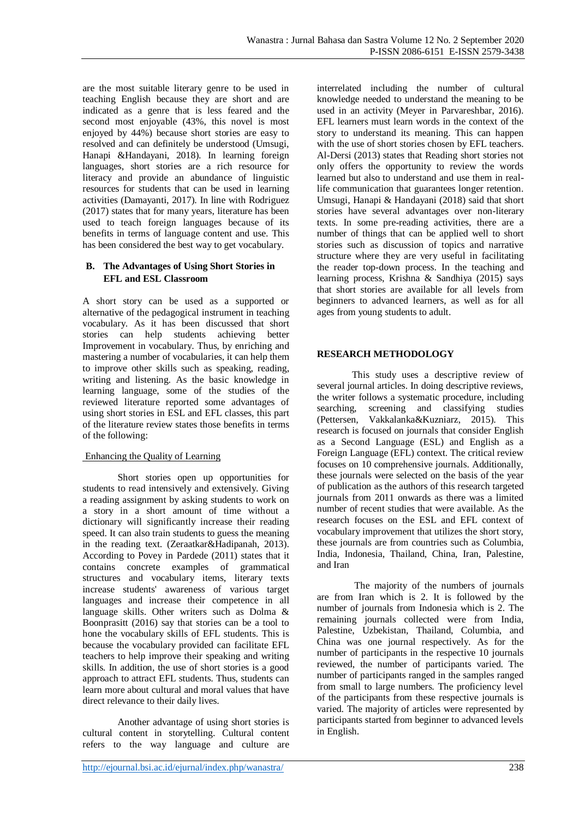are the most suitable literary genre to be used in teaching English because they are short and are indicated as a genre that is less feared and the second most enjoyable (43%, this novel is most enjoyed by 44%) because short stories are easy to resolved and can definitely be understood (Umsugi, Hanapi &Handayani, 2018). In learning foreign languages, short stories are a rich resource for literacy and provide an abundance of linguistic resources for students that can be used in learning activities (Damayanti, 2017). In line with Rodriguez (2017) states that for many years, literature has been used to teach foreign languages because of its benefits in terms of language content and use. This has been considered the best way to get vocabulary.

### **B. The Advantages of Using Short Stories in EFL and ESL Classroom**

A short story can be used as a supported or alternative of the pedagogical instrument in teaching vocabulary. As it has been discussed that short stories can help students achieving better Improvement in vocabulary. Thus, by enriching and mastering a number of vocabularies, it can help them to improve other skills such as speaking, reading, writing and listening. As the basic knowledge in learning language, some of the studies of the reviewed literature reported some advantages of using short stories in ESL and EFL classes, this part of the literature review states those benefits in terms of the following:

## Enhancing the Quality of Learning

Short stories open up opportunities for students to read intensively and extensively. Giving a reading assignment by asking students to work on a story in a short amount of time without a dictionary will significantly increase their reading speed. It can also train students to guess the meaning in the reading text. (Zeraatkar&Hadipanah, 2013). According to Povey in Pardede (2011) states that it contains concrete examples of grammatical structures and vocabulary items, literary texts increase students' awareness of various target languages and increase their competence in all language skills. Other writers such as Dolma & Boonprasitt (2016) say that stories can be a tool to hone the vocabulary skills of EFL students. This is because the vocabulary provided can facilitate EFL teachers to help improve their speaking and writing skills. In addition, the use of short stories is a good approach to attract EFL students. Thus, students can learn more about cultural and moral values that have direct relevance to their daily lives.

Another advantage of using short stories is cultural content in storytelling. Cultural content refers to the way language and culture are interrelated including the number of cultural knowledge needed to understand the meaning to be used in an activity (Meyer in Parvareshbar, 2016). EFL learners must learn words in the context of the story to understand its meaning. This can happen with the use of short stories chosen by EFL teachers. Al-Dersi (2013) states that Reading short stories not only offers the opportunity to review the words learned but also to understand and use them in reallife communication that guarantees longer retention. Umsugi, Hanapi & Handayani (2018) said that short stories have several advantages over non-literary texts. In some pre-reading activities, there are a number of things that can be applied well to short stories such as discussion of topics and narrative structure where they are very useful in facilitating the reader top-down process. In the teaching and learning process, Krishna & Sandhiya (2015) says that short stories are available for all levels from beginners to advanced learners, as well as for all ages from young students to adult.

## **RESEARCH METHODOLOGY**

This study uses a descriptive review of several journal articles. In doing descriptive reviews, the writer follows a systematic procedure, including searching, screening and classifying studies (Pettersen, Vakkalanka&Kuzniarz, 2015). This research is focused on journals that consider English as a Second Language (ESL) and English as a Foreign Language (EFL) context. The critical review focuses on 10 comprehensive journals. Additionally, these journals were selected on the basis of the year of publication as the authors of this research targeted journals from 2011 onwards as there was a limited number of recent studies that were available. As the research focuses on the ESL and EFL context of vocabulary improvement that utilizes the short story, these journals are from countries such as Columbia, India, Indonesia, Thailand, China, Iran, Palestine, and Iran

The majority of the numbers of journals are from Iran which is 2. It is followed by the number of journals from Indonesia which is 2. The remaining journals collected were from India, Palestine, Uzbekistan, Thailand, Columbia, and China was one journal respectively. As for the number of participants in the respective 10 journals reviewed, the number of participants varied. The number of participants ranged in the samples ranged from small to large numbers. The proficiency level of the participants from these respective journals is varied. The majority of articles were represented by participants started from beginner to advanced levels in English.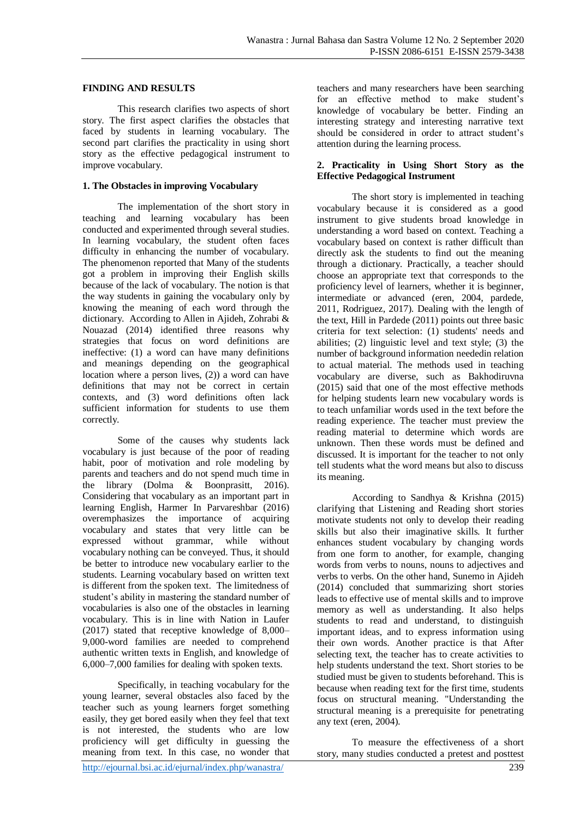#### **FINDING AND RESULTS**

This research clarifies two aspects of short story. The first aspect clarifies the obstacles that faced by students in learning vocabulary. The second part clarifies the practicality in using short story as the effective pedagogical instrument to improve vocabulary.

### **1. The Obstacles in improving Vocabulary**

The implementation of the short story in teaching and learning vocabulary has been conducted and experimented through several studies. In learning vocabulary, the student often faces difficulty in enhancing the number of vocabulary. The phenomenon reported that Many of the students got a problem in improving their English skills because of the lack of vocabulary. The notion is that the way students in gaining the vocabulary only by knowing the meaning of each word through the dictionary. According to Allen in Ajideh, Zohrabi & Nouazad (2014) identified three reasons why strategies that focus on word definitions are ineffective: (1) a word can have many definitions and meanings depending on the geographical location where a person lives, (2)) a word can have definitions that may not be correct in certain contexts, and (3) word definitions often lack sufficient information for students to use them correctly.

Some of the causes why students lack vocabulary is just because of the poor of reading habit, poor of motivation and role modeling by parents and teachers and do not spend much time in the library (Dolma & Boonprasitt, 2016). Considering that vocabulary as an important part in learning English, Harmer In Parvareshbar (2016) overemphasizes the importance of acquiring vocabulary and states that very little can be expressed without grammar, while without vocabulary nothing can be conveyed. Thus, it should be better to introduce new vocabulary earlier to the students. Learning vocabulary based on written text is different from the spoken text. The limitedness of student's ability in mastering the standard number of vocabularies is also one of the obstacles in learning vocabulary. This is in line with Nation in Laufer (2017) stated that receptive knowledge of 8,000– 9,000-word families are needed to comprehend authentic written texts in English, and knowledge of 6,000–7,000 families for dealing with spoken texts.

Specifically, in teaching vocabulary for the young learner, several obstacles also faced by the teacher such as young learners forget something easily, they get bored easily when they feel that text is not interested, the students who are low proficiency will get difficulty in guessing the meaning from text. In this case, no wonder that

teachers and many researchers have been searching for an effective method to make student's knowledge of vocabulary be better. Finding an interesting strategy and interesting narrative text should be considered in order to attract student's attention during the learning process.

### **2. Practicality in Using Short Story as the Effective Pedagogical Instrument**

The short story is implemented in teaching vocabulary because it is considered as a good instrument to give students broad knowledge in understanding a word based on context. Teaching a vocabulary based on context is rather difficult than directly ask the students to find out the meaning through a dictionary. Practically, a teacher should choose an appropriate text that corresponds to the proficiency level of learners, whether it is beginner, intermediate or advanced (eren, 2004, pardede, 2011, Rodriguez, 2017). Dealing with the length of the text, Hill in Pardede (2011) points out three basic criteria for text selection: (1) students' needs and abilities; (2) linguistic level and text style; (3) the number of background information neededin relation to actual material. The methods used in teaching vocabulary are diverse, such as Bakhodiruvna (2015) said that one of the most effective methods for helping students learn new vocabulary words is to teach unfamiliar words used in the text before the reading experience. The teacher must preview the reading material to determine which words are unknown. Then these words must be defined and discussed. It is important for the teacher to not only tell students what the word means but also to discuss its meaning.

According to Sandhya & Krishna (2015) clarifying that Listening and Reading short stories motivate students not only to develop their reading skills but also their imaginative skills. It further enhances student vocabulary by changing words from one form to another, for example, changing words from verbs to nouns, nouns to adjectives and verbs to verbs. On the other hand, Sunemo in Ajideh (2014) concluded that summarizing short stories leads to effective use of mental skills and to improve memory as well as understanding. It also helps students to read and understand, to distinguish important ideas, and to express information using their own words. Another practice is that After selecting text, the teacher has to create activities to help students understand the text. Short stories to be studied must be given to students beforehand. This is because when reading text for the first time, students focus on structural meaning. "Understanding the structural meaning is a prerequisite for penetrating any text (eren, 2004).

To measure the effectiveness of a short story, many studies conducted a pretest and posttest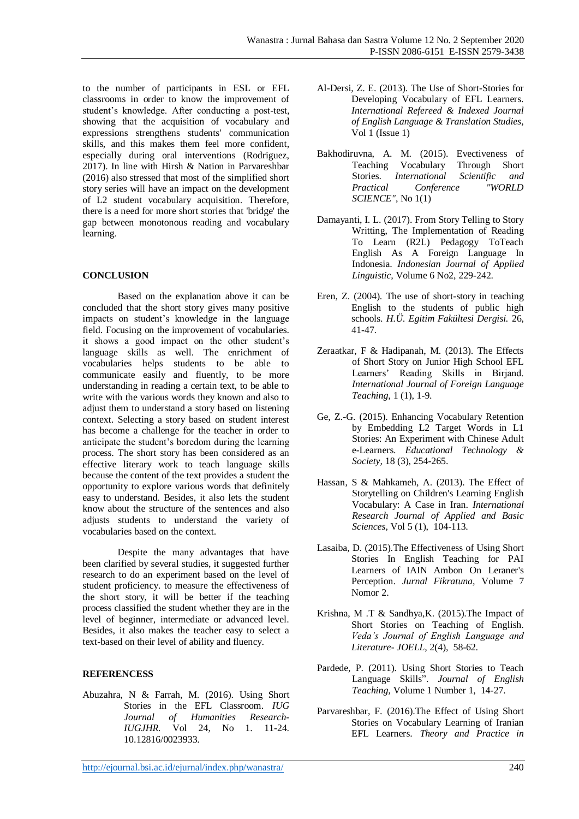to the number of participants in ESL or EFL classrooms in order to know the improvement of student's knowledge. After conducting a post-test, showing that the acquisition of vocabulary and expressions strengthens students' communication skills, and this makes them feel more confident, especially during oral interventions (Rodriguez, 2017). In line with Hirsh & Nation in Parvareshbar (2016) also stressed that most of the simplified short story series will have an impact on the development of L2 student vocabulary acquisition. Therefore, there is a need for more short stories that 'bridge' the gap between monotonous reading and vocabulary learning.

## **CONCLUSION**

Based on the explanation above it can be concluded that the short story gives many positive impacts on student's knowledge in the language field. Focusing on the improvement of vocabularies. it shows a good impact on the other student's language skills as well. The enrichment of vocabularies helps students to be able to communicate easily and fluently, to be more understanding in reading a certain text, to be able to write with the various words they known and also to adjust them to understand a story based on listening context. Selecting a story based on student interest has become a challenge for the teacher in order to anticipate the student's boredom during the learning process. The short story has been considered as an effective literary work to teach language skills because the content of the text provides a student the opportunity to explore various words that definitely easy to understand. Besides, it also lets the student know about the structure of the sentences and also adjusts students to understand the variety of vocabularies based on the context.

Despite the many advantages that have been clarified by several studies, it suggested further research to do an experiment based on the level of student proficiency. to measure the effectiveness of the short story, it will be better if the teaching process classified the student whether they are in the level of beginner, intermediate or advanced level. Besides, it also makes the teacher easy to select a text-based on their level of ability and fluency.

### **REFERENCESS**

Abuzahra, N & Farrah, M. (2016). Using Short Stories in the EFL Classroom. *IUG Journal of Humanities Research-IUGJHR.* Vol 24, No 1. 11-24. 10.12816/0023933.

- Al-Dersi, Z. E. (2013). The Use of Short-Stories for Developing Vocabulary of EFL Learners. *International Refereed & Indexed Journal of English Language & Translation Studies,*  Vol 1 (Issue 1)
- Bakhodiruvna, A. M. (2015). Evectiveness of Teaching Vocabulary Through Short Stories. *International Scientific and*   $Practical$  *Conference SCIENCE"*, No 1(1)
- Damayanti, I. L. (2017). From Story Telling to Story Writting, The Implementation of Reading To Learn (R2L) Pedagogy ToTeach English As A Foreign Language In Indonesia. *Indonesian Journal of Applied Linguistic,* Volume 6 No2, 229-242.
- Eren, Z. (2004). The use of short-story in teaching English to the students of public high schools. *H.Ü. Egitim Fakültesi Dergisi.* 26, 41-47*.*
- Zeraatkar, F & Hadipanah, M. (2013). The Effects of Short Story on Junior High School EFL Learners' Reading Skills in Birjand. *International Journal of Foreign Language Teaching,* 1 (1), 1-9.
- Ge, Z.-G. (2015). Enhancing Vocabulary Retention by Embedding L2 Target Words in L1 Stories: An Experiment with Chinese Adult e-Learners. *Educational Technology & Society,* 18 (3), 254-265.
- Hassan, S & Mahkameh, A. (2013). The Effect of Storytelling on Children's Learning English Vocabulary: A Case in Iran. *International Research Journal of Applied and Basic Sciences,* Vol 5 (1), 104-113.
- Lasaiba, D. (2015).The Effectiveness of Using Short Stories In English Teaching for PAI Learners of IAIN Ambon On Leraner's Perception. *Jurnal Fikratuna,* Volume 7 Nomor 2.
- Krishna, M .T & Sandhya,K. (2015).The Impact of Short Stories on Teaching of English. *Veda's Journal of English Language and Literature- JOELL,* 2(4), 58-62*.*
- Pardede, P. (2011). Using Short Stories to Teach Language Skills". *Journal of English Teaching,* Volume 1 Number 1, 14-27.
- Parvareshbar, F. (2016).The Effect of Using Short Stories on Vocabulary Learning of Iranian EFL Learners. *Theory and Practice in*